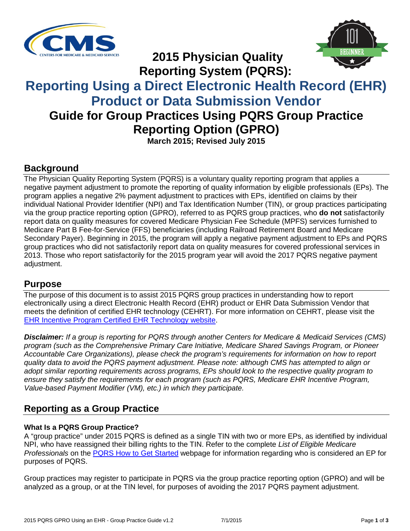



**2015 Physician Quality Reporting System (PQRS):**

# **Reporting Using a Direct Electronic Health Record (EHR) Product or Data Submission Vendor Guide for Group Practices Using PQRS Group Practice**

**Reporting Option (GPRO)** 

**March 2015; Revised July 2015**

#### **Background**

The Physician Quality Reporting System (PQRS) is a voluntary quality reporting program that applies a negative payment adjustment to promote the reporting of quality information by eligible professionals (EPs). The program applies a negative 2% payment adjustment to practices with EPs, identified on claims by their individual National Provider Identifier (NPI) and Tax Identification Number (TIN), or group practices participating via the group practice reporting option (GPRO), referred to as PQRS group practices, who **do not** satisfactorily report data on quality measures for covered Medicare Physician Fee Schedule (MPFS) services furnished to Medicare Part B Fee-for-Service (FFS) beneficiaries (including Railroad Retirement Board and Medicare Secondary Payer). Beginning in 2015, the program will apply a negative payment adjustment to EPs and PQRS group practices who did not satisfactorily report data on quality measures for covered professional services in 2013. Those who report satisfactorily for the 2015 program year will avoid the 2017 PQRS negative payment adjustment.

#### **Purpose**

The purpose of this document is to assist 2015 PQRS group practices in understanding how to report electronically using a direct Electronic Health Record (EHR) product or EHR Data Submission Vendor that meets the definition of certified EHR technology (CEHRT). For more information on CEHRT, please visit the [EHR Incentive Program Certified EHR Technology website.](http://www.cms.gov/Regulations-and-Guidance/Legislation/EHRIncentivePrograms/Certification.html)

*Disclaimer: If a group is reporting for PQRS through another Centers for Medicare & Medicaid Services (CMS) program (such as the Comprehensive Primary Care Initiative, Medicare Shared Savings Program, or Pioneer Accountable Care Organizations), please check the program's requirements for information on how to report quality data to avoid the PQRS payment adjustment. Please note: although CMS has attempted to align or adopt similar reporting requirements across programs, EPs should look to the respective quality program to ensure they satisfy the requirements for each program (such as PQRS, Medicare EHR Incentive Program, Value-based Payment Modifier (VM), etc.) in which they participate.*

## **Reporting as a Group Practice**

#### **What Is a PQRS Group Practice?**

A "group practice" under 2015 PQRS is defined as a single TIN with two or more EPs, as identified by individual NPI, who have reassigned their billing rights to the TIN. Refer to the complete *List of Eligible Medicare Professionals* on the [PQRS How to Get Started](http://www.cms.gov/Medicare/Quality-Initiatives-Patient-Assessment-Instruments/PQRS/How_To_Get_Started.html) webpage for information regarding who is considered an EP for purposes of PQRS.

Group practices may register to participate in PQRS via the group practice reporting option (GPRO) and will be analyzed as a group, or at the TIN level, for purposes of avoiding the 2017 PQRS payment adjustment.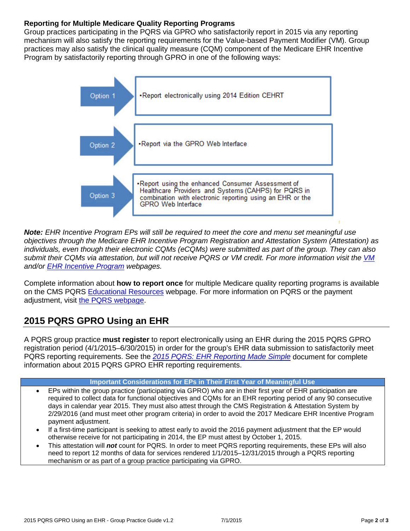#### **Reporting for Multiple Medicare Quality Reporting Programs**

Group practices participating in the PQRS via GPRO who satisfactorily report in 2015 via any reporting mechanism will also satisfy the reporting requirements for the Value-based Payment Modifier (VM). Group practices may also satisfy the clinical quality measure (CQM) component of the Medicare EHR Incentive Program by satisfactorily reporting through GPRO in one of the following ways:



*Note: EHR Incentive Program EPs will still be required to meet the core and menu set meaningful use objectives through the Medicare EHR Incentive Program Registration and Attestation System (Attestation) as individuals, even though their electronic CQMs (eCQMs) were submitted as part of the group. They can also submit their CQMs via attestation, but will not receive PQRS or VM credit. For more information visit the [VM](http://www.cms.gov/Medicare/Medicare-Fee-for-Service-Payment/PhysicianFeedbackProgram/ValueBasedPaymentModifier.html) and/or [EHR Incentive Program](http://www.cms.gov/Regulations-and-Guidance/Legislation/EHRIncentivePrograms/index.html?redirect=/ehrincentiveprograms/) webpages.* 

Complete information about **how to report once** for multiple Medicare quality reporting programs is available on the CMS PQRS [Educational Resources](http://www.cms.gov/Medicare/Quality-Initiatives-Patient-Assessment-Instruments/PQRS/EducationalResources.html) webpage. For more information on PQRS or the payment adjustment, visit [the PQRS webpage.](http://www.cms.gov/Medicare/Quality-Initiatives-Patient-Assessment-Instruments/PQRS/index.html)

## **2015 PQRS GPRO Using an EHR**

A PQRS group practice **must register** to report electronically using an EHR during the 2015 PQRS GPRO registration period (4/1/2015–6/30/2015) in order for the group's EHR data submission to satisfactorily meet PQRS reporting requirements. See the *[2015 PQRS: EHR Reporting Made Simple](http://www.cms.gov/Medicare/Quality-Initiatives-Patient-Assessment-Instruments/PQRS/Downloads/2015PQRS_EHR_Made_Simple.pdf)* document for complete information about 2015 PQRS GPRO EHR reporting requirements.

#### **Important Considerations for EPs in Their First Year of Meaningful Use**

- EPs within the group practice (participating via GPRO) who are in their first year of EHR participation are required to collect data for functional objectives and CQMs for an EHR reporting period of any 90 consecutive days in calendar year 2015. They must also attest through the CMS Registration & Attestation System by 2/29/2016 (and must meet other program criteria) in order to avoid the 2017 Medicare EHR Incentive Program payment adjustment.
- If a first-time participant is seeking to attest early to avoid the 2016 payment adjustment that the EP would otherwise receive for not participating in 2014, the EP must attest by October 1, 2015.
- This attestation will *not* count for PQRS. In order to meet PQRS reporting requirements, these EPs will also need to report 12 months of data for services rendered 1/1/2015–12/31/2015 through a PQRS reporting mechanism or as part of a group practice participating via GPRO.